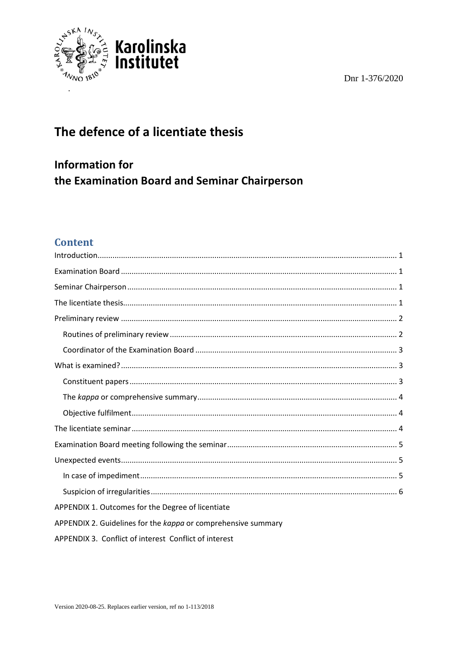Dnr 1-376/2020



# The defence of a licentiate thesis

**Information for** the Examination Board and Seminar Chairperson

## **Content**

| APPENDIX 1. Outcomes for the Degree of licentiate             |
|---------------------------------------------------------------|
| APPENDIX 2. Guidelines for the kappa or comprehensive summary |
| APPENDIX 3. Conflict of interest Conflict of interest         |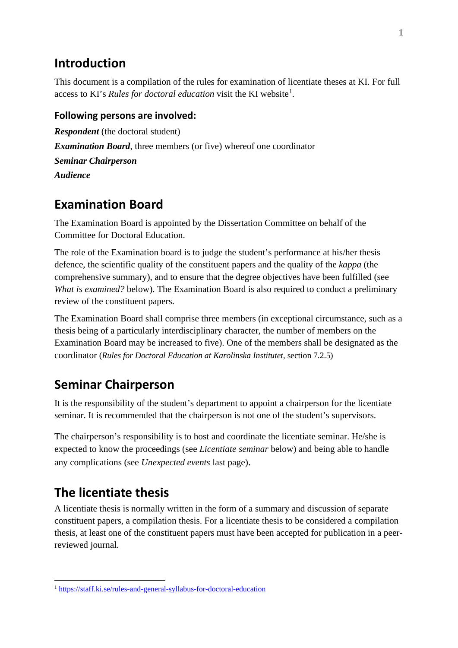## <span id="page-1-0"></span>**Introduction**

This document is a compilation of the rules for examination of licentiate theses at KI. For full access to KI's *Rules for doctoral education* visit the KI website<sup>[1](#page-1-4)</sup>.

### **Following persons are involved:**

*Respondent* (the doctoral student) *Examination Board*, three members (or five) whereof one coordinator *Seminar Chairperson Audience*

## <span id="page-1-1"></span>**Examination Board**

The Examination Board is appointed by the Dissertation Committee on behalf of the Committee for Doctoral Education.

The role of the Examination board is to judge the student's performance at his/her thesis defence, the scientific quality of the constituent papers and the quality of the *kappa* (the comprehensive summary), and to ensure that the degree objectives have been fulfilled (see *What is examined?* below). The Examination Board is also required to conduct a preliminary review of the constituent papers.

The Examination Board shall comprise three members (in exceptional circumstance, such as a thesis being of a particularly interdisciplinary character, the number of members on the Examination Board may be increased to five). One of the members shall be designated as the coordinator (*Rules for Doctoral Education at Karolinska Institutet,* section 7.2.5)

# <span id="page-1-2"></span>**Seminar Chairperson**

It is the responsibility of the student's department to appoint a chairperson for the licentiate seminar. It is recommended that the chairperson is not one of the student's supervisors.

The chairperson's responsibility is to host and coordinate the licentiate seminar. He/she is expected to know the proceedings (see *Licentiate seminar* below) and being able to handle any complications (see *Unexpected events* last page).

# <span id="page-1-3"></span>**The licentiate thesis**

A licentiate thesis is normally written in the form of a summary and discussion of separate constituent papers, a compilation thesis. For a licentiate thesis to be considered a compilation thesis, at least one of the constituent papers must have been accepted for publication in a peerreviewed journal.

<span id="page-1-4"></span><sup>1</sup> <https://staff.ki.se/rules-and-general-syllabus-for-doctoral-education>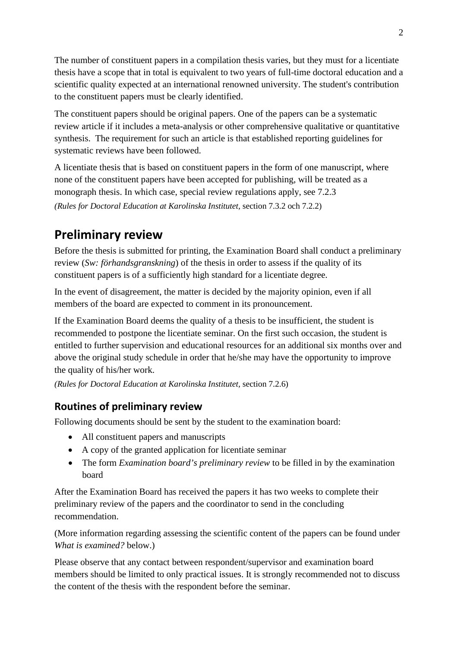The number of constituent papers in a compilation thesis varies, but they must for a licentiate thesis have a scope that in total is equivalent to two years of full-time doctoral education and a scientific quality expected at an international renowned university. The student's contribution to the constituent papers must be clearly identified.

The constituent papers should be original papers. One of the papers can be a systematic review article if it includes a meta-analysis or other comprehensive qualitative or quantitative synthesis. The requirement for such an article is that established reporting guidelines for systematic reviews have been followed.

A licentiate thesis that is based on constituent papers in the form of one manuscript, where none of the constituent papers have been accepted for publishing, will be treated as a monograph thesis. In which case, special review regulations apply, see 7.2.3 *(Rules for Doctoral Education at Karolinska Institutet,* section 7.3.2 och 7.2.2)

# <span id="page-2-0"></span>**Preliminary review**

Before the thesis is submitted for printing, the Examination Board shall conduct a preliminary review (*Sw: förhandsgranskning*) of the thesis in order to assess if the quality of its constituent papers is of a sufficiently high standard for a licentiate degree.

In the event of disagreement, the matter is decided by the majority opinion, even if all members of the board are expected to comment in its pronouncement.

If the Examination Board deems the quality of a thesis to be insufficient, the student is recommended to postpone the licentiate seminar. On the first such occasion, the student is entitled to further supervision and educational resources for an additional six months over and above the original study schedule in order that he/she may have the opportunity to improve the quality of his/her work.

*(Rules for Doctoral Education at Karolinska Institutet,* section 7.2.6)

## <span id="page-2-1"></span>**Routines of preliminary review**

Following documents should be sent by the student to the examination board:

- All constituent papers and manuscripts
- A copy of the granted application for licentiate seminar
- The form *Examination board's preliminary review* to be filled in by the examination board

After the Examination Board has received the papers it has two weeks to complete their preliminary review of the papers and the coordinator to send in the concluding recommendation.

(More information regarding assessing the scientific content of the papers can be found under *What is examined?* below.)

Please observe that any contact between respondent/supervisor and examination board members should be limited to only practical issues. It is strongly recommended not to discuss the content of the thesis with the respondent before the seminar.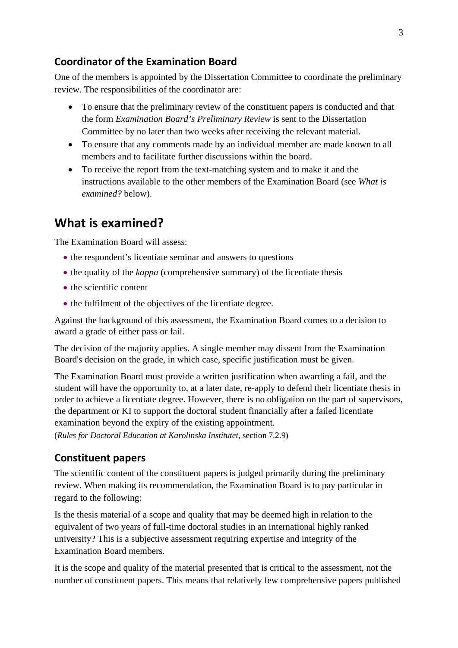#### <span id="page-3-0"></span>**Coordinator of the Examination Board**

One of the members is appointed by the Dissertation Committee to coordinate the preliminary review. The responsibilities of the coordinator are:

- To ensure that the preliminary review of the constituent papers is conducted and that the form *Examination Board's Preliminary Review* is sent to the Dissertation Committee by no later than two weeks after receiving the relevant material.
- To ensure that any comments made by an individual member are made known to all members and to facilitate further discussions within the board.
- To receive the report from the text-matching system and to make it and the instructions available to the other members of the Examination Board (see *What is examined?* below).

## <span id="page-3-1"></span>**What is examined?**

The Examination Board will assess:

- the respondent's licentiate seminar and answers to questions
- the quality of the *kappa* (comprehensive summary) of the licentiate thesis
- the scientific content
- the fulfilment of the objectives of the licentiate degree.

Against the background of this assessment, the Examination Board comes to a decision to award a grade of either pass or fail.

The decision of the majority applies. A single member may dissent from the Examination Board's decision on the grade, in which case, specific justification must be given.

The Examination Board must provide a written justification when awarding a fail, and the student will have the opportunity to, at a later date, re-apply to defend their licentiate thesis in order to achieve a licentiate degree. However, there is no obligation on the part of supervisors, the department or KI to support the doctoral student financially after a failed licentiate examination beyond the expiry of the existing appointment.

(*Rules for Doctoral Education at Karolinska Institutet*, section 7.2.9)

#### <span id="page-3-2"></span>**Constituent papers**

The scientific content of the constituent papers is judged primarily during the preliminary review. When making its recommendation, the Examination Board is to pay particular in regard to the following:

Is the thesis material of a scope and quality that may be deemed high in relation to the equivalent of two years of full-time doctoral studies in an international highly ranked university? This is a subjective assessment requiring expertise and integrity of the Examination Board members.

It is the scope and quality of the material presented that is critical to the assessment, not the number of constituent papers. This means that relatively few comprehensive papers published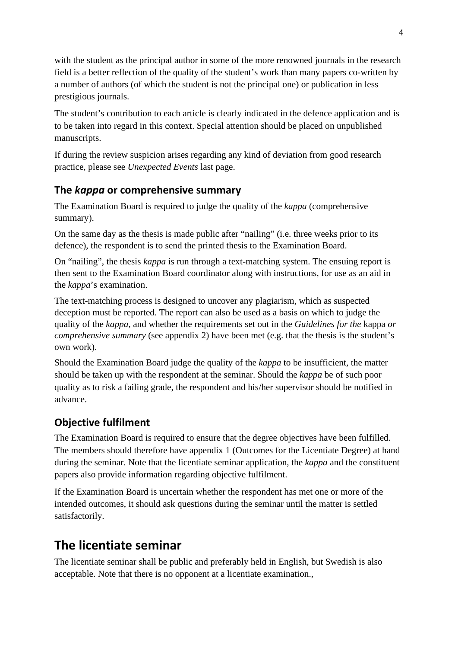with the student as the principal author in some of the more renowned journals in the research field is a better reflection of the quality of the student's work than many papers co-written by a number of authors (of which the student is not the principal one) or publication in less prestigious journals.

The student's contribution to each article is clearly indicated in the defence application and is to be taken into regard in this context. Special attention should be placed on unpublished manuscripts.

If during the review suspicion arises regarding any kind of deviation from good research practice, please see *Unexpected Events* last page.

## <span id="page-4-0"></span>**The** *kappa* **or comprehensive summary**

The Examination Board is required to judge the quality of the *kappa* (comprehensive summary).

On the same day as the thesis is made public after "nailing" (i.e. three weeks prior to its defence), the respondent is to send the printed thesis to the Examination Board.

On "nailing", the thesis *kappa* is run through a text-matching system. The ensuing report is then sent to the Examination Board coordinator along with instructions, for use as an aid in the *kappa*'s examination.

The text-matching process is designed to uncover any plagiarism, which as suspected deception must be reported. The report can also be used as a basis on which to judge the quality of the *kappa*, and whether the requirements set out in the *Guidelines for the* kappa *or comprehensive summary* (see appendix 2) have been met (e.g. that the thesis is the student's own work).

Should the Examination Board judge the quality of the *kappa* to be insufficient, the matter should be taken up with the respondent at the seminar. Should the *kappa* be of such poor quality as to risk a failing grade, the respondent and his/her supervisor should be notified in advance.

## <span id="page-4-1"></span>**Objective fulfilment**

The Examination Board is required to ensure that the degree objectives have been fulfilled. The members should therefore have appendix 1 (Outcomes for the Licentiate Degree) at hand during the seminar. Note that the licentiate seminar application, the *kappa* and the constituent papers also provide information regarding objective fulfilment.

If the Examination Board is uncertain whether the respondent has met one or more of the intended outcomes, it should ask questions during the seminar until the matter is settled satisfactorily.

# <span id="page-4-2"></span>**The licentiate seminar**

The licentiate seminar shall be public and preferably held in English, but Swedish is also acceptable. Note that there is no opponent at a licentiate examination.,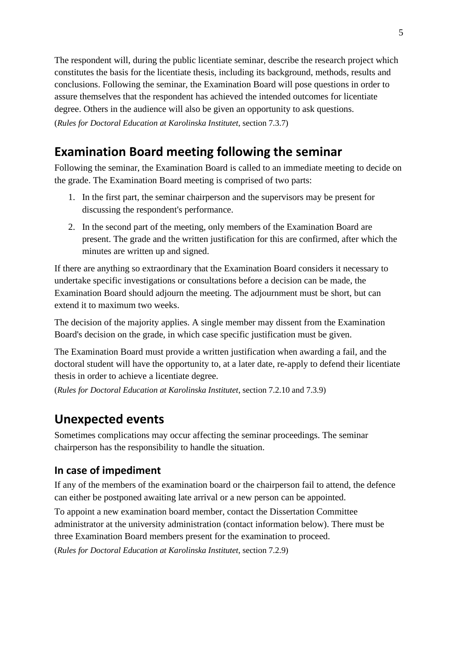The respondent will, during the public licentiate seminar, describe the research project which constitutes the basis for the licentiate thesis, including its background, methods, results and conclusions. Following the seminar, the Examination Board will pose questions in order to assure themselves that the respondent has achieved the intended outcomes for licentiate degree. Others in the audience will also be given an opportunity to ask questions. (*Rules for Doctoral Education at Karolinska Institutet*, section 7.3.7)

# <span id="page-5-0"></span>**Examination Board meeting following the seminar**

Following the seminar, the Examination Board is called to an immediate meeting to decide on the grade. The Examination Board meeting is comprised of two parts:

- 1. In the first part, the seminar chairperson and the supervisors may be present for discussing the respondent's performance.
- 2. In the second part of the meeting, only members of the Examination Board are present. The grade and the written justification for this are confirmed, after which the minutes are written up and signed.

If there are anything so extraordinary that the Examination Board considers it necessary to undertake specific investigations or consultations before a decision can be made, the Examination Board should adjourn the meeting. The adjournment must be short, but can extend it to maximum two weeks.

The decision of the majority applies. A single member may dissent from the Examination Board's decision on the grade, in which case specific justification must be given.

The Examination Board must provide a written justification when awarding a fail, and the doctoral student will have the opportunity to, at a later date, re-apply to defend their licentiate thesis in order to achieve a licentiate degree.

(*Rules for Doctoral Education at Karolinska Institutet*, section 7.2.10 and 7.3.9)

## <span id="page-5-1"></span>**Unexpected events**

Sometimes complications may occur affecting the seminar proceedings. The seminar chairperson has the responsibility to handle the situation.

### <span id="page-5-2"></span>**In case of impediment**

If any of the members of the examination board or the chairperson fail to attend, the defence can either be postponed awaiting late arrival or a new person can be appointed.

To appoint a new examination board member, contact the Dissertation Committee administrator at the university administration (contact information below). There must be three Examination Board members present for the examination to proceed.

(*Rules for Doctoral Education at Karolinska Institutet*, section 7.2.9)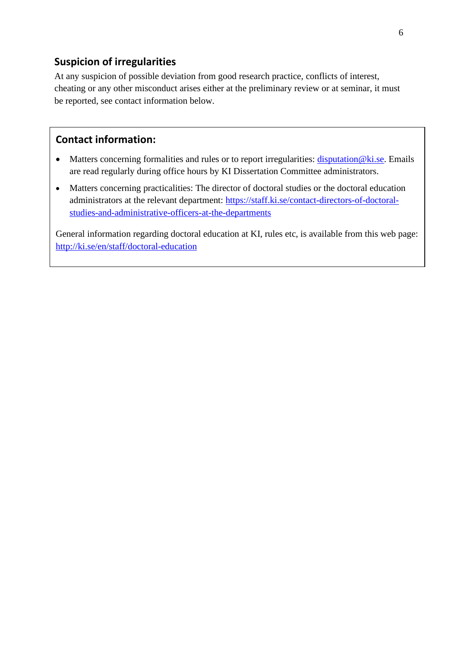## <span id="page-6-0"></span>**Suspicion of irregularities**

At any suspicion of possible deviation from good research practice, conflicts of interest, cheating or any other misconduct arises either at the preliminary review or at seminar, it must be reported, see contact information below.

### **Contact information:**

- Matters concerning formalities and rules or to report irregularities: [disputation@ki.se.](mailto:disputation@ki.se) Emails are read regularly during office hours by KI Dissertation Committee administrators.
- Matters concerning practicalities: The director of doctoral studies or the doctoral education administrators at the relevant department: [https://staff.ki.se/contact-directors-of-doctoral](https://staff.ki.se/contact-directors-of-doctoral-studies-and-administrative-officers-at-the-departments)[studies-and-administrative-officers-at-the-departments](https://staff.ki.se/contact-directors-of-doctoral-studies-and-administrative-officers-at-the-departments)

General information regarding doctoral education at KI, rules etc, is available from this web page: <http://ki.se/en/staff/doctoral-education>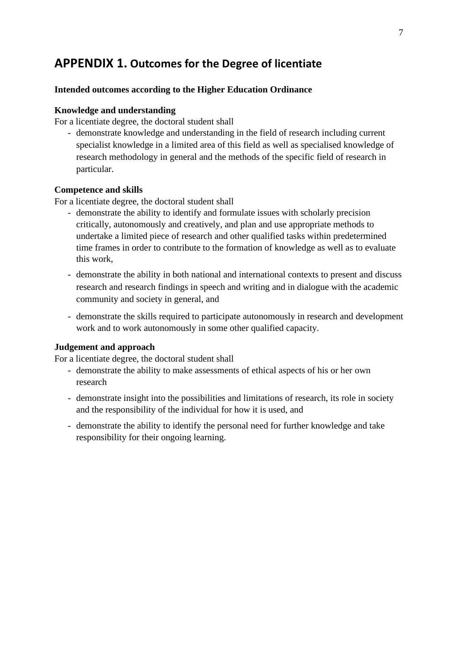## <span id="page-7-0"></span>**APPENDIX 1. Outcomes for the Degree of licentiate**

#### **Intended outcomes according to the Higher Education Ordinance**

#### **Knowledge and understanding**

For a licentiate degree, the doctoral student shall

- demonstrate knowledge and understanding in the field of research including current specialist knowledge in a limited area of this field as well as specialised knowledge of research methodology in general and the methods of the specific field of research in particular.

#### **Competence and skills**

For a licentiate degree, the doctoral student shall

- demonstrate the ability to identify and formulate issues with scholarly precision critically, autonomously and creatively, and plan and use appropriate methods to undertake a limited piece of research and other qualified tasks within predetermined time frames in order to contribute to the formation of knowledge as well as to evaluate this work,
- demonstrate the ability in both national and international contexts to present and discuss research and research findings in speech and writing and in dialogue with the academic community and society in general, and
- demonstrate the skills required to participate autonomously in research and development work and to work autonomously in some other qualified capacity.

#### **Judgement and approach**

For a licentiate degree, the doctoral student shall

- demonstrate the ability to make assessments of ethical aspects of his or her own research
- demonstrate insight into the possibilities and limitations of research, its role in society and the responsibility of the individual for how it is used, and
- demonstrate the ability to identify the personal need for further knowledge and take responsibility for their ongoing learning.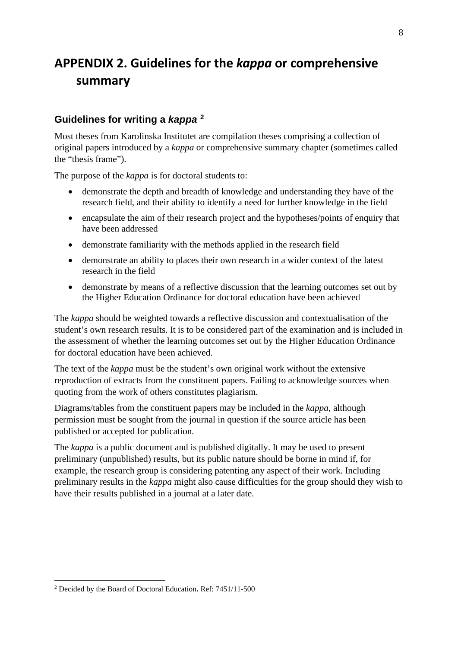# <span id="page-8-0"></span>**APPENDIX 2. Guidelines for the** *kappa* **or comprehensive summary**

### **Guidelines for writing a** *kappa* **[2](#page-8-1)**

Most theses from Karolinska Institutet are compilation theses comprising a collection of original papers introduced by a *kappa* or comprehensive summary chapter (sometimes called the "thesis frame").

The purpose of the *kappa* is for doctoral students to:

- demonstrate the depth and breadth of knowledge and understanding they have of the research field, and their ability to identify a need for further knowledge in the field
- encapsulate the aim of their research project and the hypotheses/points of enquiry that have been addressed
- demonstrate familiarity with the methods applied in the research field
- demonstrate an ability to places their own research in a wider context of the latest research in the field
- demonstrate by means of a reflective discussion that the learning outcomes set out by the Higher Education Ordinance for doctoral education have been achieved

The *kappa* should be weighted towards a reflective discussion and contextualisation of the student's own research results. It is to be considered part of the examination and is included in the assessment of whether the learning outcomes set out by the Higher Education Ordinance for doctoral education have been achieved.

The text of the *kappa* must be the student's own original work without the extensive reproduction of extracts from the constituent papers. Failing to acknowledge sources when quoting from the work of others constitutes plagiarism.

Diagrams/tables from the constituent papers may be included in the *kappa*, although permission must be sought from the journal in question if the source article has been published or accepted for publication.

The *kappa* is a public document and is published digitally. It may be used to present preliminary (unpublished) results, but its public nature should be borne in mind if, for example, the research group is considering patenting any aspect of their work. Including preliminary results in the *kappa* might also cause difficulties for the group should they wish to have their results published in a journal at a later date.

<span id="page-8-1"></span><sup>2</sup> Decided by the Board of Doctoral Education**.** Ref: 7451/11-500